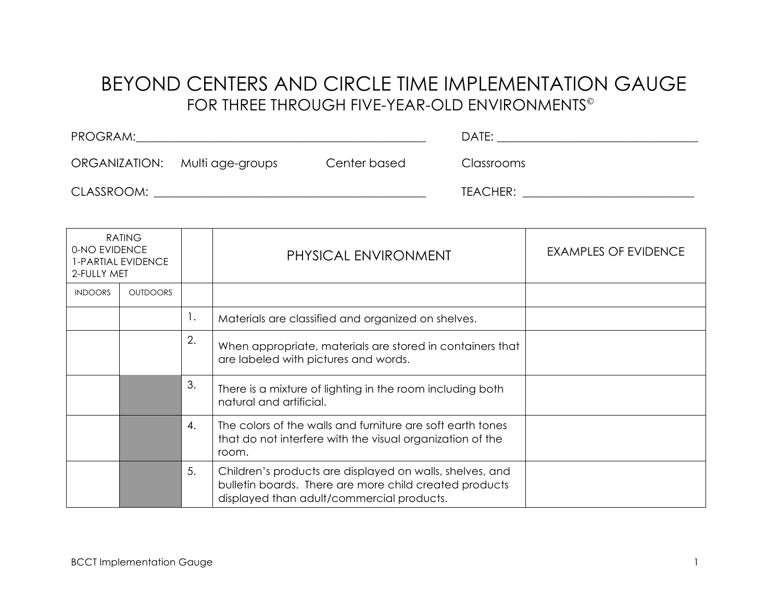## BEYOND CENTERS AND CIRCLE TIME IMPLEMENTATION GAUGE FOR THREE THROUGH FIVE-YEAR-OLD ENVIRONMENTS

| PROGRAM:                       |              | DATE:             |
|--------------------------------|--------------|-------------------|
| ORGANIZATION: Multi age-groups | Center based | <b>Classrooms</b> |
| CLASSROOM:                     |              | TEACHER:          |

| <b>RATING</b><br>0-NO EVIDENCE<br>1-PARTIAL EVIDENCE<br>2-FULLY MET |                 |    | PHYSICAL ENVIRONMENT                                                                                                                                            | <b>EXAMPLES OF EVIDENCE</b> |
|---------------------------------------------------------------------|-----------------|----|-----------------------------------------------------------------------------------------------------------------------------------------------------------------|-----------------------------|
| <b>INDOORS</b>                                                      | <b>OUTDOORS</b> |    |                                                                                                                                                                 |                             |
|                                                                     |                 | Ι. | Materials are classified and organized on shelves.                                                                                                              |                             |
|                                                                     |                 | 2. | When appropriate, materials are stored in containers that<br>are labeled with pictures and words.                                                               |                             |
|                                                                     |                 | 3. | There is a mixture of lighting in the room including both<br>natural and artificial.                                                                            |                             |
|                                                                     |                 | 4. | The colors of the walls and furniture are soft earth tones<br>that do not interfere with the visual organization of the<br>room.                                |                             |
|                                                                     |                 | 5. | Children's products are displayed on walls, shelves, and<br>bulletin boards. There are more child created products<br>displayed than adult/commercial products. |                             |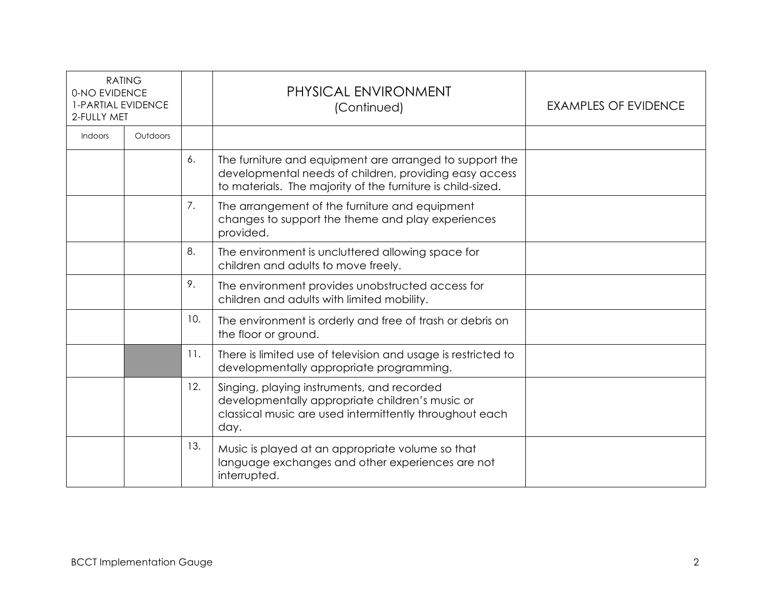| <b>RATING</b><br>0-NO EVIDENCE<br>1-PARTIAL EVIDENCE<br>2-FULLY MET |          |     | PHYSICAL ENVIRONMENT<br>(Continued)                                                                                                                                              | <b>EXAMPLES OF EVIDENCE</b> |
|---------------------------------------------------------------------|----------|-----|----------------------------------------------------------------------------------------------------------------------------------------------------------------------------------|-----------------------------|
| <b>Indoors</b>                                                      | Outdoors |     |                                                                                                                                                                                  |                             |
|                                                                     |          | 6.  | The furniture and equipment are arranged to support the<br>developmental needs of children, providing easy access<br>to materials. The majority of the furniture is child-sized. |                             |
|                                                                     |          | 7.  | The arrangement of the furniture and equipment<br>changes to support the theme and play experiences<br>provided.                                                                 |                             |
|                                                                     |          | 8.  | The environment is uncluttered allowing space for<br>children and adults to move freely.                                                                                         |                             |
|                                                                     |          | 9.  | The environment provides unobstructed access for<br>children and adults with limited mobility.                                                                                   |                             |
|                                                                     |          | 10. | The environment is orderly and free of trash or debris on<br>the floor or ground.                                                                                                |                             |
|                                                                     |          | 11. | There is limited use of television and usage is restricted to<br>developmentally appropriate programming.                                                                        |                             |
|                                                                     |          | 12. | Singing, playing instruments, and recorded<br>developmentally appropriate children's music or<br>classical music are used intermittently throughout each<br>day.                 |                             |
|                                                                     |          | 13. | Music is played at an appropriate volume so that<br>language exchanges and other experiences are not<br>interrupted.                                                             |                             |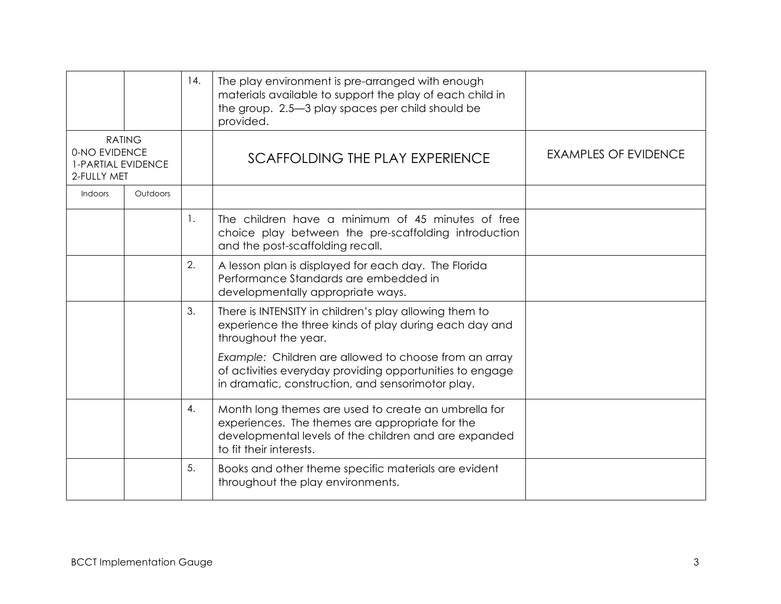|                                                                            |                 | 14. | The play environment is pre-arranged with enough<br>materials available to support the play of each child in<br>the group. 2.5-3 play spaces per child should be<br>provided.               |                             |
|----------------------------------------------------------------------------|-----------------|-----|---------------------------------------------------------------------------------------------------------------------------------------------------------------------------------------------|-----------------------------|
| <b>RATING</b><br>0-NO EVIDENCE<br><b>1-PARTIAL EVIDENCE</b><br>2-FULLY MET |                 |     | SCAFFOLDING THE PLAY EXPERIENCE                                                                                                                                                             | <b>EXAMPLES OF EVIDENCE</b> |
| <b>Indoors</b>                                                             | <b>Outdoors</b> |     |                                                                                                                                                                                             |                             |
|                                                                            |                 | 1.  | The children have a minimum of 45 minutes of free<br>choice play between the pre-scaffolding introduction<br>and the post-scaffolding recall.                                               |                             |
|                                                                            |                 | 2.  | A lesson plan is displayed for each day. The Florida<br>Performance Standards are embedded in<br>developmentally appropriate ways.                                                          |                             |
|                                                                            |                 | 3.  | There is INTENSITY in children's play allowing them to<br>experience the three kinds of play during each day and<br>throughout the year.                                                    |                             |
|                                                                            |                 |     | Example: Children are allowed to choose from an array<br>of activities everyday providing opportunities to engage<br>in dramatic, construction, and sensorimotor play.                      |                             |
|                                                                            |                 | 4.  | Month long themes are used to create an umbrella for<br>experiences. The themes are appropriate for the<br>developmental levels of the children and are expanded<br>to fit their interests. |                             |
|                                                                            |                 | 5.  | Books and other theme specific materials are evident<br>throughout the play environments.                                                                                                   |                             |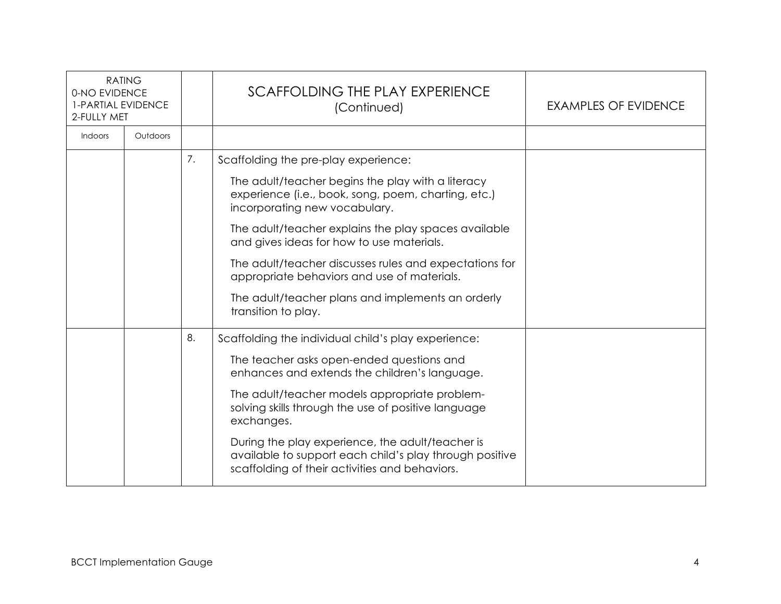| <b>RATING</b><br>0-NO EVIDENCE<br>1-PARTIAL EVIDENCE<br>2-FULLY MET |          |    | SCAFFOLDING THE PLAY EXPERIENCE<br>(Continued)                                                                                                                | EXAMPLES OF EVIDENCE |
|---------------------------------------------------------------------|----------|----|---------------------------------------------------------------------------------------------------------------------------------------------------------------|----------------------|
| <b>Indoors</b>                                                      | Outdoors |    |                                                                                                                                                               |                      |
|                                                                     |          | 7. | Scaffolding the pre-play experience:                                                                                                                          |                      |
|                                                                     |          |    | The adult/teacher begins the play with a literacy<br>experience (i.e., book, song, poem, charting, etc.)<br>incorporating new vocabulary.                     |                      |
|                                                                     |          |    | The adult/teacher explains the play spaces available<br>and gives ideas for how to use materials.                                                             |                      |
|                                                                     |          |    | The adult/teacher discusses rules and expectations for<br>appropriate behaviors and use of materials.                                                         |                      |
|                                                                     |          |    | The adult/teacher plans and implements an orderly<br>transition to play.                                                                                      |                      |
|                                                                     |          | 8. | Scaffolding the individual child's play experience:                                                                                                           |                      |
|                                                                     |          |    | The teacher asks open-ended questions and<br>enhances and extends the children's language.                                                                    |                      |
|                                                                     |          |    | The adult/teacher models appropriate problem-<br>solving skills through the use of positive language<br>exchanges.                                            |                      |
|                                                                     |          |    | During the play experience, the adult/teacher is<br>available to support each child's play through positive<br>scaffolding of their activities and behaviors. |                      |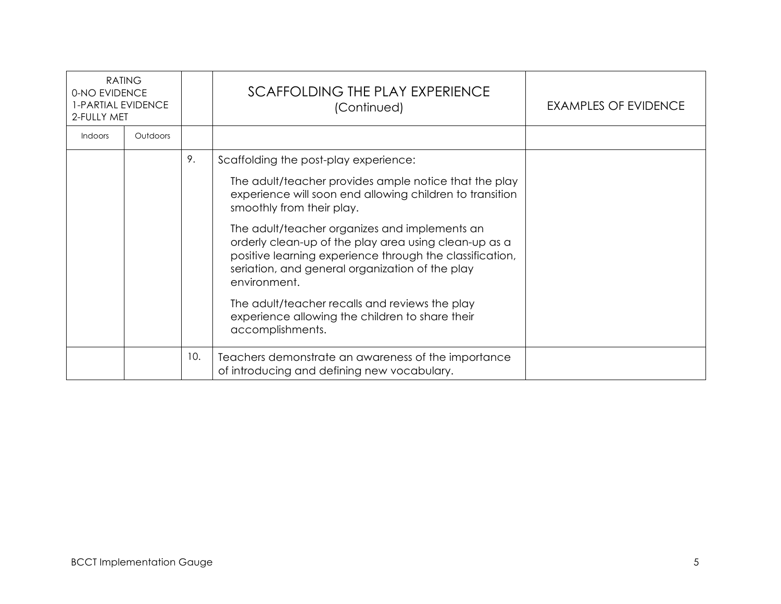| <b>RATING</b><br>0-NO EVIDENCE<br>1-PARTIAL EVIDENCE<br>2-FULLY MET |          |     | SCAFFOLDING THE PLAY EXPERIENCE<br>(Continued)                                                                                                                                                                                        | <b>EXAMPLES OF EVIDENCE</b> |
|---------------------------------------------------------------------|----------|-----|---------------------------------------------------------------------------------------------------------------------------------------------------------------------------------------------------------------------------------------|-----------------------------|
| Indoors                                                             | Outdoors |     |                                                                                                                                                                                                                                       |                             |
|                                                                     |          | 9.  | Scaffolding the post-play experience:                                                                                                                                                                                                 |                             |
|                                                                     |          |     | The adult/teacher provides ample notice that the play<br>experience will soon end allowing children to transition<br>smoothly from their play.                                                                                        |                             |
|                                                                     |          |     | The adult/teacher organizes and implements an<br>orderly clean-up of the play area using clean-up as a<br>positive learning experience through the classification,<br>seriation, and general organization of the play<br>environment. |                             |
|                                                                     |          |     | The adult/teacher recalls and reviews the play<br>experience allowing the children to share their<br>accomplishments.                                                                                                                 |                             |
|                                                                     |          | 10. | Teachers demonstrate an awareness of the importance<br>of introducing and defining new vocabulary.                                                                                                                                    |                             |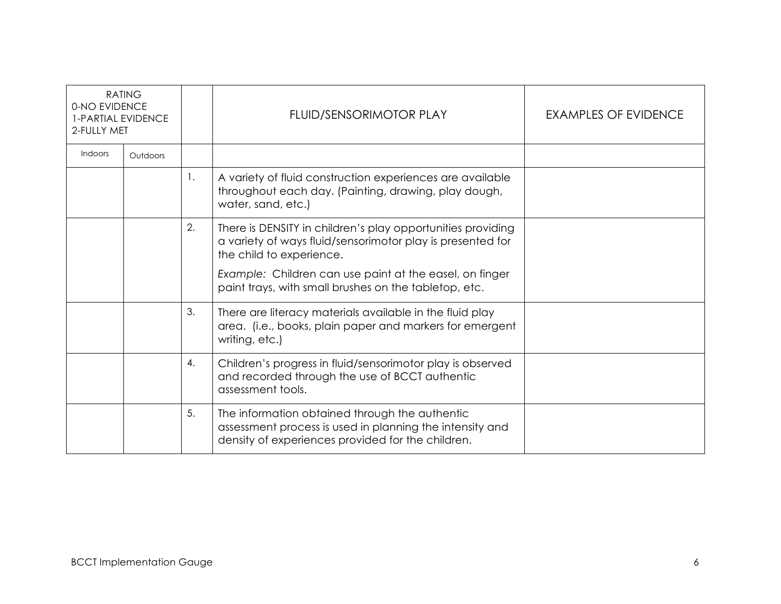| <b>RATING</b><br>0-NO EVIDENCE<br><b>1-PARTIAL EVIDENCE</b><br>2-FULLY MET |          |    | FLUID/SENSORIMOTOR PLAY                                                                                                                                                                                                                                                   | <b>EXAMPLES OF EVIDENCE</b> |
|----------------------------------------------------------------------------|----------|----|---------------------------------------------------------------------------------------------------------------------------------------------------------------------------------------------------------------------------------------------------------------------------|-----------------------------|
| Indoors                                                                    | Outdoors |    |                                                                                                                                                                                                                                                                           |                             |
|                                                                            |          | 1. | A variety of fluid construction experiences are available<br>throughout each day. (Painting, drawing, play dough,<br>water, sand, etc.)                                                                                                                                   |                             |
|                                                                            |          | 2. | There is DENSITY in children's play opportunities providing<br>a variety of ways fluid/sensorimotor play is presented for<br>the child to experience.<br>Example: Children can use paint at the easel, on finger<br>paint trays, with small brushes on the tabletop, etc. |                             |
|                                                                            |          | 3. | There are literacy materials available in the fluid play<br>area. (i.e., books, plain paper and markers for emergent<br>writing, etc.)                                                                                                                                    |                             |
|                                                                            |          | 4. | Children's progress in fluid/sensorimotor play is observed<br>and recorded through the use of BCCT authentic<br>assessment tools.                                                                                                                                         |                             |
|                                                                            |          | 5. | The information obtained through the authentic<br>assessment process is used in planning the intensity and<br>density of experiences provided for the children.                                                                                                           |                             |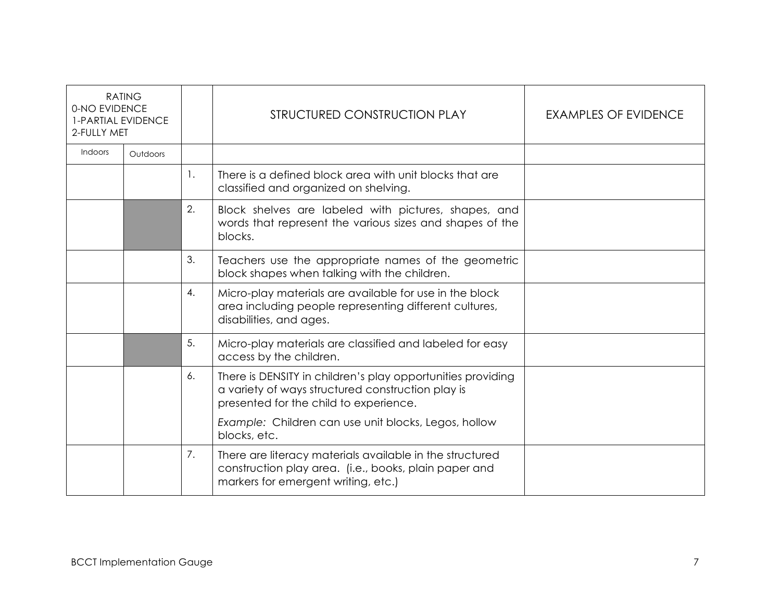| <b>RATING</b><br>0-NO EVIDENCE<br><b>1-PARTIAL EVIDENCE</b><br>2-FULLY MET |          |    | STRUCTURED CONSTRUCTION PLAY                                                                                                                               | EXAMPLES OF EVIDENCE |
|----------------------------------------------------------------------------|----------|----|------------------------------------------------------------------------------------------------------------------------------------------------------------|----------------------|
| Indoors                                                                    | Outdoors |    |                                                                                                                                                            |                      |
|                                                                            |          | 1. | There is a defined block area with unit blocks that are<br>classified and organized on shelving.                                                           |                      |
|                                                                            |          | 2. | Block shelves are labeled with pictures, shapes, and<br>words that represent the various sizes and shapes of the<br>blocks.                                |                      |
|                                                                            |          | 3. | Teachers use the appropriate names of the geometric<br>block shapes when talking with the children.                                                        |                      |
|                                                                            |          | 4. | Micro-play materials are available for use in the block<br>area including people representing different cultures,<br>disabilities, and ages.               |                      |
|                                                                            |          | 5. | Micro-play materials are classified and labeled for easy<br>access by the children.                                                                        |                      |
|                                                                            |          | 6. | There is DENSITY in children's play opportunities providing<br>a variety of ways structured construction play is<br>presented for the child to experience. |                      |
|                                                                            |          |    | Example: Children can use unit blocks, Legos, hollow<br>blocks, etc.                                                                                       |                      |
|                                                                            |          | 7. | There are literacy materials available in the structured<br>construction play area. (i.e., books, plain paper and<br>markers for emergent writing, etc.)   |                      |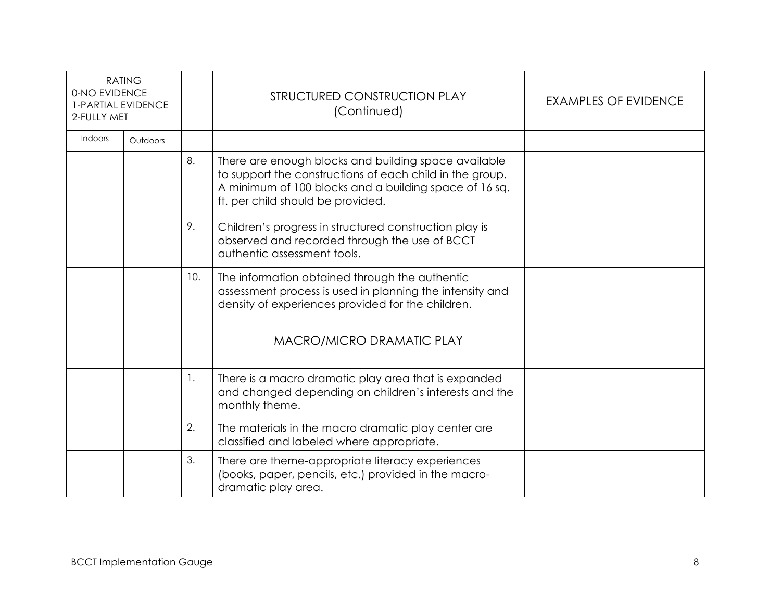| <b>RATING</b><br>0-NO EVIDENCE<br><b>1-PARTIAL EVIDENCE</b><br>2-FULLY MET |          |     | STRUCTURED CONSTRUCTION PLAY<br>(Continued)                                                                                                                                                                     | <b>EXAMPLES OF EVIDENCE</b> |
|----------------------------------------------------------------------------|----------|-----|-----------------------------------------------------------------------------------------------------------------------------------------------------------------------------------------------------------------|-----------------------------|
| Indoors                                                                    | Outdoors |     |                                                                                                                                                                                                                 |                             |
|                                                                            |          | 8.  | There are enough blocks and building space available<br>to support the constructions of each child in the group.<br>A minimum of 100 blocks and a building space of 16 sq.<br>ft. per child should be provided. |                             |
|                                                                            |          | 9.  | Children's progress in structured construction play is<br>observed and recorded through the use of BCCT<br>authentic assessment tools.                                                                          |                             |
|                                                                            |          | 10. | The information obtained through the authentic<br>assessment process is used in planning the intensity and<br>density of experiences provided for the children.                                                 |                             |
|                                                                            |          |     | MACRO/MICRO DRAMATIC PLAY                                                                                                                                                                                       |                             |
|                                                                            |          | -1. | There is a macro dramatic play area that is expanded<br>and changed depending on children's interests and the<br>monthly theme.                                                                                 |                             |
|                                                                            |          | 2.  | The materials in the macro dramatic play center are<br>classified and labeled where appropriate.                                                                                                                |                             |
|                                                                            |          | 3.  | There are theme-appropriate literacy experiences<br>(books, paper, pencils, etc.) provided in the macro-<br>dramatic play area.                                                                                 |                             |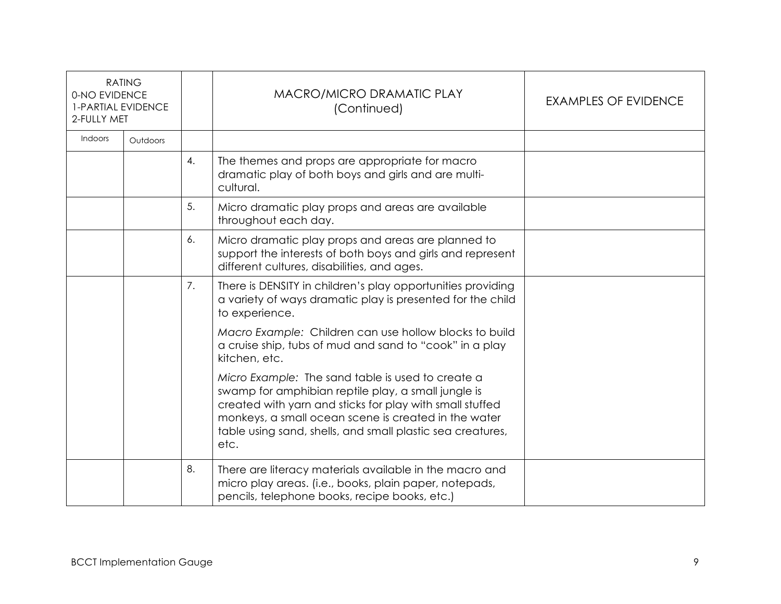| <b>RATING</b><br>0-NO EVIDENCE<br><b>1-PARTIAL EVIDENCE</b><br>2-FULLY MET |          |    | <b>MACRO/MICRO DRAMATIC PLAY</b><br>(Continued)                                                                                                                                                                                                                                                    | <b>EXAMPLES OF EVIDENCE</b> |
|----------------------------------------------------------------------------|----------|----|----------------------------------------------------------------------------------------------------------------------------------------------------------------------------------------------------------------------------------------------------------------------------------------------------|-----------------------------|
| Indoors                                                                    | Outdoors |    |                                                                                                                                                                                                                                                                                                    |                             |
|                                                                            |          | 4. | The themes and props are appropriate for macro<br>dramatic play of both boys and girls and are multi-<br>cultural.                                                                                                                                                                                 |                             |
|                                                                            |          | 5. | Micro dramatic play props and areas are available<br>throughout each day.                                                                                                                                                                                                                          |                             |
|                                                                            |          | 6. | Micro dramatic play props and areas are planned to<br>support the interests of both boys and girls and represent<br>different cultures, disabilities, and ages.                                                                                                                                    |                             |
|                                                                            |          | 7. | There is DENSITY in children's play opportunities providing<br>a variety of ways dramatic play is presented for the child<br>to experience.                                                                                                                                                        |                             |
|                                                                            |          |    | Macro Example: Children can use hollow blocks to build<br>a cruise ship, tubs of mud and sand to "cook" in a play<br>kitchen, etc.                                                                                                                                                                 |                             |
|                                                                            |          |    | Micro Example: The sand table is used to create a<br>swamp for amphibian reptile play, a small jungle is<br>created with yarn and sticks for play with small stuffed<br>monkeys, a small ocean scene is created in the water<br>table using sand, shells, and small plastic sea creatures,<br>etc. |                             |
|                                                                            |          | 8. | There are literacy materials available in the macro and<br>micro play areas. (i.e., books, plain paper, notepads,<br>pencils, telephone books, recipe books, etc.)                                                                                                                                 |                             |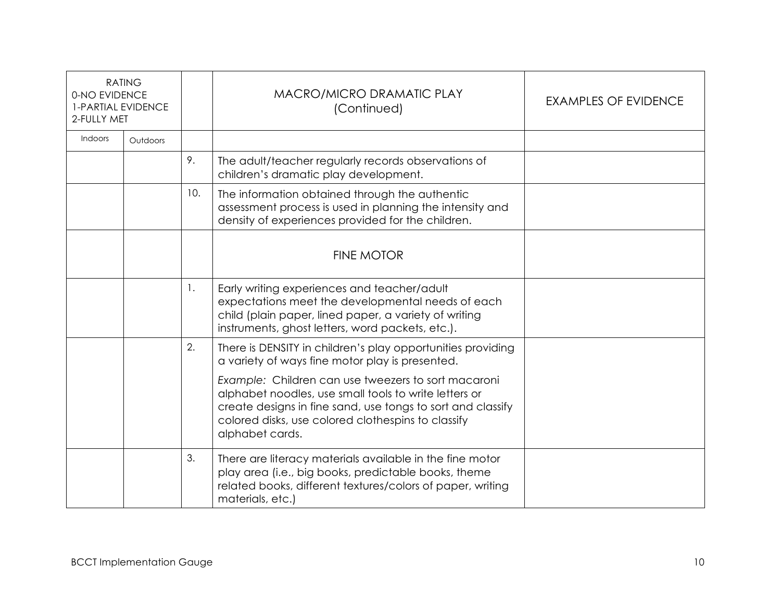| <b>RATING</b><br>0-NO EVIDENCE<br><b>1-PARTIAL EVIDENCE</b><br>2-FULLY MET |          |     | MACRO/MICRO DRAMATIC PLAY<br>(Continued)                                                                                                                                                                                                                                                                                                                               | <b>EXAMPLES OF EVIDENCE</b> |
|----------------------------------------------------------------------------|----------|-----|------------------------------------------------------------------------------------------------------------------------------------------------------------------------------------------------------------------------------------------------------------------------------------------------------------------------------------------------------------------------|-----------------------------|
| Indoors                                                                    | Outdoors |     |                                                                                                                                                                                                                                                                                                                                                                        |                             |
|                                                                            |          | 9.  | The adult/teacher regularly records observations of<br>children's dramatic play development.                                                                                                                                                                                                                                                                           |                             |
|                                                                            |          | 10. | The information obtained through the authentic<br>assessment process is used in planning the intensity and<br>density of experiences provided for the children.                                                                                                                                                                                                        |                             |
|                                                                            |          |     | <b>FINE MOTOR</b>                                                                                                                                                                                                                                                                                                                                                      |                             |
|                                                                            |          | 1.  | Early writing experiences and teacher/adult<br>expectations meet the developmental needs of each<br>child (plain paper, lined paper, a variety of writing<br>instruments, ghost letters, word packets, etc.).                                                                                                                                                          |                             |
|                                                                            |          | 2.  | There is DENSITY in children's play opportunities providing<br>a variety of ways fine motor play is presented.<br>Example: Children can use tweezers to sort macaroni<br>alphabet noodles, use small tools to write letters or<br>create designs in fine sand, use tongs to sort and classify<br>colored disks, use colored clothespins to classify<br>alphabet cards. |                             |
|                                                                            |          | 3.  | There are literacy materials available in the fine motor<br>play area (i.e., big books, predictable books, theme<br>related books, different textures/colors of paper, writing<br>materials, etc.)                                                                                                                                                                     |                             |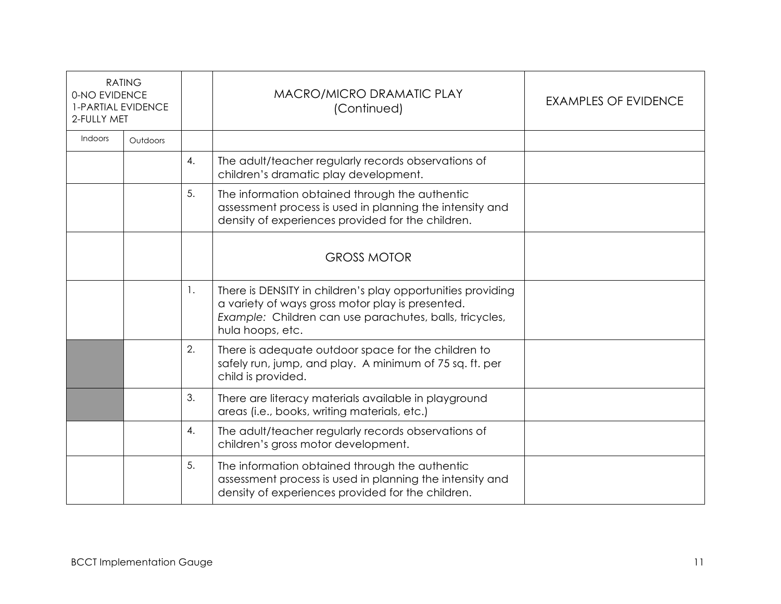| <b>RATING</b><br>0-NO EVIDENCE<br><b>1-PARTIAL EVIDENCE</b><br>2-FULLY MET |          |                | MACRO/MICRO DRAMATIC PLAY<br>(Continued)                                                                                                                                                       | <b>EXAMPLES OF EVIDENCE</b> |
|----------------------------------------------------------------------------|----------|----------------|------------------------------------------------------------------------------------------------------------------------------------------------------------------------------------------------|-----------------------------|
| <b>Indoors</b>                                                             | Outdoors |                |                                                                                                                                                                                                |                             |
|                                                                            |          | 4.             | The adult/teacher regularly records observations of<br>children's dramatic play development.                                                                                                   |                             |
|                                                                            |          | 5.             | The information obtained through the authentic<br>assessment process is used in planning the intensity and<br>density of experiences provided for the children.                                |                             |
|                                                                            |          |                | <b>GROSS MOTOR</b>                                                                                                                                                                             |                             |
|                                                                            |          | $\mathbf{1}$ . | There is DENSITY in children's play opportunities providing<br>a variety of ways gross motor play is presented.<br>Example: Children can use parachutes, balls, tricycles,<br>hula hoops, etc. |                             |
|                                                                            |          | 2.             | There is adequate outdoor space for the children to<br>safely run, jump, and play. A minimum of 75 sq. ft. per<br>child is provided.                                                           |                             |
|                                                                            |          | 3.             | There are literacy materials available in playground<br>areas (i.e., books, writing materials, etc.)                                                                                           |                             |
|                                                                            |          | 4.             | The adult/teacher regularly records observations of<br>children's gross motor development.                                                                                                     |                             |
|                                                                            |          | 5.             | The information obtained through the authentic<br>assessment process is used in planning the intensity and<br>density of experiences provided for the children.                                |                             |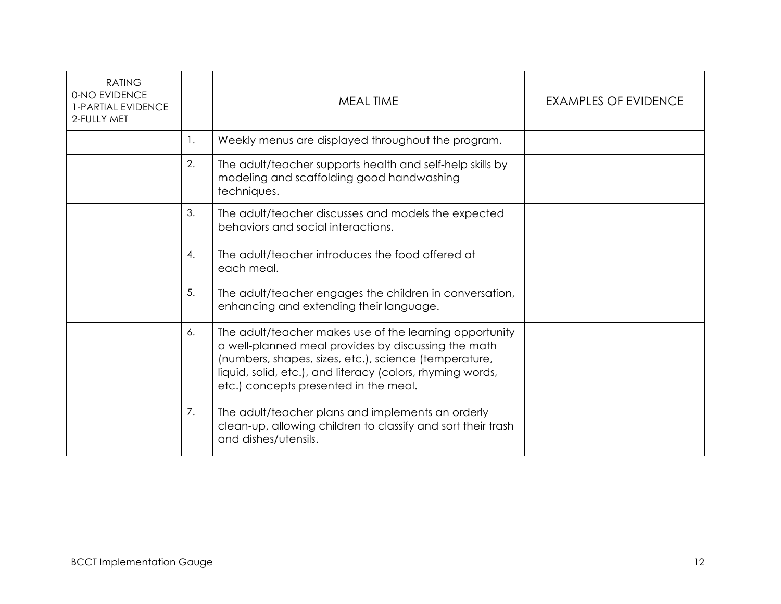| <b>RATING</b><br>0-NO EVIDENCE<br><b>1-PARTIAL EVIDENCE</b><br>2-FULLY MET |    | <b>MEAL TIME</b>                                                                                                                                                                                                                                                               | <b>EXAMPLES OF EVIDENCE</b> |
|----------------------------------------------------------------------------|----|--------------------------------------------------------------------------------------------------------------------------------------------------------------------------------------------------------------------------------------------------------------------------------|-----------------------------|
|                                                                            | 1. | Weekly menus are displayed throughout the program.                                                                                                                                                                                                                             |                             |
|                                                                            | 2. | The adult/teacher supports health and self-help skills by<br>modeling and scaffolding good handwashing<br>techniques.                                                                                                                                                          |                             |
|                                                                            | 3. | The adult/teacher discusses and models the expected<br>behaviors and social interactions.                                                                                                                                                                                      |                             |
|                                                                            | 4. | The adult/teacher introduces the food offered at<br>each meal.                                                                                                                                                                                                                 |                             |
|                                                                            | 5. | The adult/teacher engages the children in conversation,<br>enhancing and extending their language.                                                                                                                                                                             |                             |
|                                                                            | 6. | The adult/teacher makes use of the learning opportunity<br>a well-planned meal provides by discussing the math<br>(numbers, shapes, sizes, etc.), science (temperature,<br>liquid, solid, etc.), and literacy (colors, rhyming words,<br>etc.) concepts presented in the meal. |                             |
|                                                                            | 7. | The adult/teacher plans and implements an orderly<br>clean-up, allowing children to classify and sort their trash<br>and dishes/utensils.                                                                                                                                      |                             |